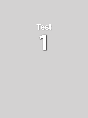# **1 Test**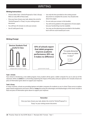# WRITING

## **Writing Instructions**

- Choose either Task 1 (Article/Proposal) or Task 2 (Essay). Write on only ONE of these tasks.
- Once you have chosen your task, darken the circle for "Article/Proposal" or "Essay" on your writing answer document.
- You will have 45 minutes to write your answer.
- Use #2 (soft) pencil only.
- Use only the lines provided on the writing answer document to complete this section. You should write about two pages.
- Do not write your answer in this booklet.
- You will not be graded on the appearance of your paper, but your handwriting must be readable.
- You may use the planning area provided in this booklet, but it will not count toward your score.

## - independent research study | | | - government study **Devices Students Find Useful In Class 92% Smartphone Laptop 72% Tablet 23%**

**50% of schools report that tablet programs improve academic performance; 40% say it makes no difference**



## **Task 1: Article**

Your school is introducing a new tablet program. Every student will be given a tablet computer for use in and out of the classroom. Write an **article** for a school blog explaining the impact of this policy and your opinion of it. Include at least one piece of information given above to support your response.

#### **Task 2: Essay**

In many countries, schools are providing laptops and tablet computers for students to use in school. These serve to replace paper-based assignments and exams. Write an **essay** discussing the advantages and disadvantages of this trend. Include at least one piece of information given above to support your response.

#### **Remember**

Once you have chosen your task, darken the circle for "Article/Proposal" or "Essay" on your writing answer document.

## **Writing Prompt**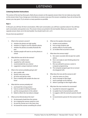## **Listening Section Instructions**

This section of the test has three parts. Mark all your answers on the separate answer sheet. Do not make any stray marks on the answer sheet. If you change your mind about an answer, erase your first answer completely. If you do not know the answer, you may guess. Try to answer as many questions as possible.

#### **Part 1**

In this part, you will hear 20 short conversations. After each conversation, you will hear a question about it. You will hear each conversation and question once. The answer choices are printed in the test booklet. Mark your answers on the separate answer sheet, not in the test booklet. You should mark A, B, C, or D.

Do you have any questions?

- 1. What is the woman's concern?
	- A. whether the photos are high quality
	- B. whether it is legal to use the website's photos
	- C. whether the photos accurately illustrate the past
	- D. whether people will want to use the photos in school
- 2. What did the man do for the woman?
	- A. gave her a medical exam
	- B. supplied her with vitamins
	- C. recommended she see a doctor
	- D. suggested a unique treatment method
- 3. What is the woman probably going to do?
	- A. give a public talk
	- B. quickly write some notes
	- C. go home and get her notes
	- D. have a meeting with people she does not know
- 4. What did the woman probably do?
	- A. purchased the wrong product
	- B. had an accident involving chemicals
	- C. put the wrong products in the cabinet
	- D. failed to inform the man about a danger
- 5. What can be inferred about the man?
	- A. He borrowed a book from the woman.
	- B. He is helping the woman study for a test.
	- C. He and the woman are in the same class.
	- D. He loaned the woman something for school.
- 6. What are the speakers discussing?
	- A. student social problems
	- B. how to keep students safe
	- C. positive effects of social media
	- D. an incident that occurred in school
- 7. What does the woman imply?
	- A. Her career counselor did not give her useful advice.
	- B. She is not ready to start thinking about her future career.
	- C. She was advised to pursue a career in computer programming.
	- D. The computer program gave her an answer she disagreed with.
- 8. What does the man ask the woman to do?
	- A. write her name on a form
	- B. send a message to Alex Vogel
	- C. send a package out for delivery
	- D. deliver a package to Alex Vogel's office
- 9. Why does the man mention his roommate?
	- A. to justify his restaurant suggestion
	- B. to explain how he learned about Lucille's
	- C. to suggest a dish the woman's parents should try
	- D. to recommend a person for the woman to talk to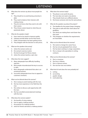- 10. What does the woman say about most people her age?
	- A. They should try to avoid leaving university in debt.
	- B. They need to balance their interests with making money.
	- C. They do not know what they want to do with their careers.
	- D. They choose careers based on what they are passionate about.
- 11. What do the speakers imply?
	- A. Fares need to be raised to improve quality.
	- B. Subways provide better service than buses.
	- C. Public transportation has been getting worse.
	- D. They disagree with the decision to raise prices.
- 12. What are the speakers discussing?
	- A. where the woman works out
	- B. the woman's exercise routine
	- C. the best local gym for fitness classes
	- D. where the woman teaches a spin class
- 13. What does the man suggest?
	- A. Many salespeople have difficulty handling rejection.
	- B. Most people misunderstand the key to success in sales.
	- C. Most salespeople understand that sales is an emotional business.
	- D. Successful salespeople know how to appeal to customers' emotions.
- 14. What can be inferred about the woman?
	- A. She is trying to avoid meeting with the man.
	- B. She has more experience in her field than the man.
	- C. She wishes to discuss a job opportunity with the man.
	- D. She has cancelled several planned meetings with the man.
- 15. What does the woman explain?
	- A. the benefits of using makeup
	- B. how to apply a makeup product
	- C. the purpose of a makeup product
	- D. what her friends said about a makeup product
- 16. What does the woman imply?
	- A. The phone is not worth the price.
	- B. The man does not need a new phone.
	- C. They should check out a different phone.
	- D. She knows someone who has the same phone.
- 17. What do the speakers say about the project?
	- A. The deadline for the project keeps changing.
	- B. They plan to talk with their client about the deadlines.
	- C. The clients are making them work faster than they want.
	- D. They disagree on whether the requirements are reasonable.
- 18. What can be inferred about the woman?
	- A. She wants to change her career focus.
	- B. She has not yet graduated from school.
	- C. She has been working in a large corporation.
	- D. She is a lawyer who specializes in writing contracts.
- 19. What can be inferred about the woman?
	- A. She is a musician.
	- B. She lives in Atlanta.
	- C. She is a famous actress.
	- D. She met the man once before.
- 20. What kind of work does the man probably do?
	- A. writing
	- B. accounting
	- C. graphic design
	- D. event planning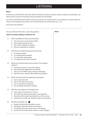## **Part 2**

In this part, you will hear three short talks. After each talk, you will hear six questions about it. Before each talk begins, you will have time to preview the questions that are printed in the test booklet.

You will hear each talk and the questions once. If you want to, you may take notes in your booklet as you listen. Mark your answers on the separate answer sheet, not in the test booklet. You should mark A, B, C, or D.

Do you have any questions?

|     | Now you will hear the first talk. Look at the questions.              | <b>Notes</b> |
|-----|-----------------------------------------------------------------------|--------------|
|     | Listen to someone leading a conference call.                          |              |
| 21. | What is probably true about the participants?                         |              |
|     | They have never met each other before.<br>А.                          |              |
|     | They usually meet face to face.<br>В.                                 |              |
|     | C. They work for different companies.                                 |              |
|     | They are usually late for meetings.<br>D.                             |              |
| 22. | What does the speaker imply about the meeting?                        |              |
|     | A. It is being recorded.                                              |              |
|     | B. It is starting behind schedule.                                    |              |
|     | C. It is required for all attendees.                                  |              |
|     | D. It is expected to last most of the day.                            |              |
| 23. | What can be inferred about some members of the speaker's<br>audience? |              |
|     | They did not receive a copy of the agenda.<br>А.                      |              |
|     | They had trouble logging into the meeting.<br>В.                      |              |
|     | They are not confident using computer technology.<br>C.               |              |
|     | They have never used the videoconferencing software.<br>D.            |              |
| 24. | What instructions does the speaker give participants?                 |              |
|     | A. how to download a file                                             |              |
|     | how to start and stop the video<br>В.                                 |              |
|     | C. how to mute their microphones                                      |              |
|     | D. how to politely interrupt the meeting                              |              |
| 25. | What does the speaker say will happen later?                          |              |
|     | A. There will be a short break at 11:00 a.m.                          |              |
|     | Time will be set aside for participants to ask questions.<br>В.       |              |
|     | Attendees will be asked to participate in an online survey.<br>C.     |              |
|     | D. A person from outside the company will give a presentation.        |              |
| 26. | Why does the speaker say: $\leq$                                      |              |
|     | People will wait for late attendees to arrive.<br>Α.                  |              |
|     | Participants will briefly introduce themselves.<br>В.                 |              |
|     | The speaker will review all the items on the agenda.<br>C.            |              |
|     | Control of the meeting will be passed to a work colleague.<br>D.      |              |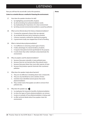Now you will hear the second talk. Look at the questions.

#### **Listen to a scientist discuss a method of cleaning the environment.**

- 27. How does the speaker introduce his talk?
	- A. by highlighting several benefits of plants
	- B. by demonstrating how phytoremediation works
	- C. by emphasizing the importance of a clean environment
	- D. by listing several environmental problems caused by pollution
- 28. What can be inferred about the history of phytoremediation?
	- A. A researcher proposed a theory that was rejected.
	- B. An accidental discovery led to testing by scientists.
	- C. A farmer invented a method for cleaning his property.
	- D. A government study was stopped due to lack of funding.
- 29. What is claimed about phytoremediation?
	- A. It is ineffective in removing certain types of toxins.
	- B. It takes advantage of a natural tendency of plants.
	- C. It requires that plants be bred specifically for the purpose.
	- D. It works faster than other methods to decontaminate the environment.
- 30. Why are poplars used for phytoremediation?
	- A. because they grow naturally in many polluted areas
	- B. because they are not harmed when they absorb toxins
	- C. because they grow faster than most other species of trees
	- D. because they produce special chemicals that counteract pollution
- 31. What does the speaker imply about bacteria?
	- A. They are not effective in breaking down toxic compounds.
	- B. They are very beneficial to some varieties of trees.
	- C. Scientists have identified several species that assist phytoremediation.
	- D. They contain toxins that poplars are able to remove from polluted sites.
- 32. Why does the speaker say:  $\triangleleft$ 
	- A. to emphasize the long-term benefits of phytoremediation
	- B. to show the types of toxins phytoremediation can remove
	- C. to give an example of how phytoremediation is being used
	- D. to offer technical details about how poplars clean the environment

**Notes**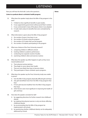**Notes**

Now you will hear the third talk. Look at the questions.

## **Listen to a podcast about a scholastic health program.**

- 33. What does the speaker imply about the Mile-A-Day program in the past?
	- A. It failed to show significant benefits in past studies.
	- B. It was supported by government without proof that it worked.
	- C. It was controversial in many of the places where it was adopted.
	- D. It made claims about its benefits that were contradicted by research.
- 34. What information is given about the Mile-A-Day program?
	- A. the number of years it has been in use
	- B. the number of schools using the program
	- C. the number of US states that use the program
	- D. the number of students participating in the program
- 35. What was a feature of the Frew University research?
	- A. comparing children in different schools
	- B. tracking children's academic performance
	- C. conducting two separate rounds of studies
	- D. examining children's diets and exercise routines
- 36. What does the speaker say often happens to girls as they move toward adolescence?
	- A. Their physical activity declines.
	- B. They begin to worry about their health.
	- C. They are more likely than boys to become obese.
	- D. They participate in fewer scholastic sports programs.
- 37. What does the speaker say the Frew University study was unable to prove?
	- A. how the Mile-A-Day program physically affected girls and boys
	- B. why girls benefitted more from the Mile-A-Day program than boys
	- C. if more girls become healthier from the Mile-A-Day program than boys
	- D. which factors were most significant in improving the health of girls and boys
- 38. How does the speaker conclude her talk?
	- A. by suggesting directions for further research into childhood obesity
	- B. by implying that physical exercise is only one factor affecting childhood obesity
	- C. by recommending that the Mile-A-Day program be implemented in all schools
	- D. by questioning whether childhood obesity can be adequately addressed by schools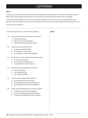#### **Part 3**

In this part, you will hear two segments from a radio program. After each segment, you will hear six questions about it. Before each segment begins, you will have time to preview the questions that are printed in the test booklet.

You will hear each segment twice. Then you will hear the questions once. If you want to, you may take notes in your booklet as you listen. Mark your answers on the separate answer sheet, not in the test booklet. You should mark A, B, or C.

Do you have any questions?

|     | Look at the questions. Then, listen to the first segment.                                                                                                                                                    | <b>Notes</b> |
|-----|--------------------------------------------------------------------------------------------------------------------------------------------------------------------------------------------------------------|--------------|
| 39. | How do the speakers describe the sick sea lions?<br>A. like they are injured<br>like they are experiencing pain<br>В.<br>like they have been deprived of food<br>C.                                          |              |
| 40. | How do the sea lions become ill?<br>by eating contaminated fish<br>А.<br>by eating toxic marine algae<br>В.<br>C. by coming into contact with pollution                                                      |              |
| 41. | What does Dr. Lorentz say he did with the sea lions?<br>A. He scanned their brains.<br>He studied their feeding habits.<br>В.<br>C. He treated them with domoic acid.                                        |              |
| 42. | What does domoic acid affect in sea lions?<br>A. their sense of sight<br>their spatial memory<br>В.<br>C. their swimming ability                                                                             |              |
| 43. | How does perseveration affect sea lions?<br>by preventing them from mating<br>А.<br>by changing their usual hunting behavior<br>В.<br>by interfering with their food metabolism<br>C.                        |              |
| 44. | What can be inferred about Dr. Lorentz's research?<br>A. It utilizes innovative new technology.<br>It solves a longstanding scientific mystery.<br>В.<br>It needs to be validated by further research.<br>C. |              |
|     |                                                                                                                                                                                                              |              |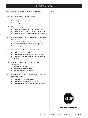**Notes**

| 45. | What does Derek Turnbull's job involve?                                      |  |  |  |  |  |  |  |
|-----|------------------------------------------------------------------------------|--|--|--|--|--|--|--|
|     | training new employees<br>A.                                                 |  |  |  |  |  |  |  |
|     | creating cross-functional teams<br>В.                                        |  |  |  |  |  |  |  |
|     | C.<br>matching employers and job seekers                                     |  |  |  |  |  |  |  |
| 46. | Why was Lydia Hayes surprised?                                               |  |  |  |  |  |  |  |
|     | She did not anticipate Derek Turnbull's question.<br>А.                      |  |  |  |  |  |  |  |
|     | She did not realize Derek Turnbull had changed jobs.<br>B.                   |  |  |  |  |  |  |  |
|     | C.<br>She did not expect an answer Derek Turnbull gave her.                  |  |  |  |  |  |  |  |
| 47. | What does Derek Turnbull say is important for employees to<br>be able to do? |  |  |  |  |  |  |  |
|     | А.<br>take directions from bosses and supervisors                            |  |  |  |  |  |  |  |
|     | understand how their companies are organized<br>В.                           |  |  |  |  |  |  |  |
|     | C. work with people both in and out of the company                           |  |  |  |  |  |  |  |
| 48. | What is noted about cross-functional teams?                                  |  |  |  |  |  |  |  |
|     | They can be difficult to lead.<br>А.                                         |  |  |  |  |  |  |  |
|     | They are made up of people from different teams.<br>В.                       |  |  |  |  |  |  |  |
|     | C.<br>They are becoming increasingly important to many                       |  |  |  |  |  |  |  |
|     | businesses.                                                                  |  |  |  |  |  |  |  |
| 49. | What does Derek Turnbull say about the term                                  |  |  |  |  |  |  |  |
|     | "collaboration"?                                                             |  |  |  |  |  |  |  |
|     | It is often misunderstood.<br>А.                                             |  |  |  |  |  |  |  |
|     | It covers many different skills.<br>В.                                       |  |  |  |  |  |  |  |
|     | C.<br>It describes a large part of his job.                                  |  |  |  |  |  |  |  |
| 50. | What does Derek Turnbull imply about people who are                          |  |  |  |  |  |  |  |
|     | good collaborators?                                                          |  |  |  |  |  |  |  |
|     | They have excellent writing skills.<br>А.                                    |  |  |  |  |  |  |  |
|     | They are likely to advance in their careers.<br>В.                           |  |  |  |  |  |  |  |
|     | They are able to work well with a variety of people.<br>C.                   |  |  |  |  |  |  |  |
|     |                                                                              |  |  |  |  |  |  |  |
|     |                                                                              |  |  |  |  |  |  |  |
|     |                                                                              |  |  |  |  |  |  |  |
|     |                                                                              |  |  |  |  |  |  |  |



**End of the listening test**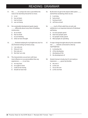# READING: GRAMMAR

- 51. She <u>same</u> on campus for even a year before the noise in her dormitory forced her to move.
	- A. is not
	- B. has not been
	- C. had not been
	- D. was not being
- 52. Our sustainable development goals require differently about every facet of building construction.
	- A. do we think
	- B. that we think
	- C. we are thinking
	- D. what we have thought
- 53. **Finished studying for my English test, but I've** also finished writing my history essay.
	- A. I am only not
	- B. Only am I not
	- C. Not only am I
	- D. Not that I am only
- 54. The characteristics we are born with have more influence on our personalities than any experiences \_\_\_\_\_ in our lives.
	- A. we may have
	- B. we ought to have
	- C. could we be having
	- D. should we have had
- 55. By the time we get to the airport, Bob's plane and he'll be wondering where we are.
	- A. is arriving
	- B. had arrived
	- C. having arrived
	- D. will have arrived
- 56. much of their adult lives at work, job satisfaction is an important element of individual well-being.
	- A. As most people spend
	- B. Had most people spent
	- C. For people mostly spend
	- D. Most people are spending
- 57. A major change brought about by the automobile was \_\_\_\_\_\_ suburbs connected to cities by superhighways.
	- A. to develop the
	- B. of the developing
	- C. developing of the
	- D. the development of
- 58. Atsuko's bonsai is lovely, but it's not nearly as impressive \_\_\_\_\_\_ grown by Kumiko.
	- A. the one is
	- B. as the one
	- C. not as the one
	- D. as the one that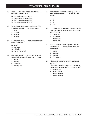# READING: GRAMMAR

- 59. Erik and his family love the holidays; there is than spend them together.
	- A. nothing they rather would do
	- B. they would rather do nothing
	- C. rather they would do nothing
	- D. nothing they would rather do
- 60. Universities ought to provide graduates with the knowledge and skills \_\_\_\_\_ in the workplace.
	- A. need
	- B. to need
	- C. needed
	- D. needing
- 61. Sylvia asked that she \_\_\_\_\_ alone to finish her work without disruption.
	- A. be left
	- B. is to leave
	- C. will be left
	- D. was leaving herself
- 62. John couldn't decide whether to study finance or design; his father strongly supported \_\_\_\_\_ idea.
	- A. former
	- B. formerly
	- C. the former
	- D. formerly the
- 63. When his alarm went off this morning, he shut it off, rolled over, and slept \_\_\_\_\_ another twenty minutes.
	- A. by
	- B. till
	- C. for
	- D. from
- 64. Edwards is the head coach, he needs to take full responsibility for the behavior of his players on and off the field.
	- A. Not only but
	- B. On behalf of
	- C. Inasmuch as
	- D. In order that
- 65. The new law passed by the city council requires that the mayor \_\_\_\_\_\_ a budget for approval, no later than April 1.
	- A. submit
	- B. to submit
	- C. submitting
	- D. who submits
- 66. "There seems to be some tension between John and Janet"

 "I know. Did you notice how, when he came into the room, she got up and left \_\_\_\_ hello to him?"

- A. before to say
- B. without saying
- C. outside of saying
- D. other than to say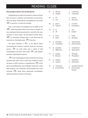# READING: CLOZE

#### **This passage is about a new animal species.**

Amphipods are an order of crustaceans, similar to shrimp, that are found in saltwater and freshwater environments. There are nearly 10,000 species of amphipods in the world, **(67)** in size from 1 to 340 mm in length.

Now, a new species of amphipod can be added to the **(68)** . Measuring about 50mm (two inches) in length, the new amphipod, *Epimeria quasimodo*, is named for the main character in Victor Hugo's *The Hunchback of Notre Dame*, **(69)** its somewhat humped back. It was discovered by researchers in the frigid waters **(70)** Antarctica.

The genus *Epimeria* is **(71)** in the glacial waters surrounding the southern continent. There are 26 known species, **(72)** by vivid colors and a variety of wild morphological structures, that evoke **(73)** with dragons and other mythological creatures.

**(74)** their morphological variety, researchers have long assumed they knew most of what they needed to about the genus. In 2007, however, a comprehensive **(75)** of the genus was published by a pair of Belgian researchers. Using DNA evidence, the researchers demonstrated that much remained **(76)** about these spectacular invertebrates, sparking newfound interest in the genus.

| 67. | Α.<br>В. | altering<br>ranging          | C.<br>D. | containing<br>comprising                     |
|-----|----------|------------------------------|----------|----------------------------------------------|
| 68. | А.<br>B. | list<br>sum                  | C.<br>D. | species<br>discovery                         |
| 69. | Α.<br>В. | due to<br>made of            | C.<br>D. | as well as<br>according to                   |
| 70. | А.<br>B. | to<br>off                    | C.<br>D. | into<br>besides                              |
| 71. | А.<br>В. | lively<br>plush              | C.<br>D. | fertile<br>abundant                          |
| 72. | А.<br>В. | portrayed<br>constituted     | C.<br>D. | characterized<br>demonstrated                |
| 73. | А.<br>В. | examples<br>differences      | C.<br>D. | comparisons<br>observations                  |
| 74. | А.<br>В. | Despite<br><b>Because</b>    | C.<br>D. | Although<br>Throughout                       |
| 75. | А.<br>В. | analysis<br>research         | C.<br>D. | expedition<br>information                    |
| 76. | А.<br>В. | of learning<br>to be learned | C.<br>D. | should be learned<br>had not been<br>learned |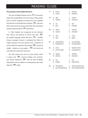# READING: CLOZE

#### **This passage is about English literature.**

The roots of English literature can be **(77)** to Germanic tribes who invaded Britain in the 5th century. These people had no written language but learned the Latin alphabet from Romans on the British Isles. Using this **(78)** , they were able to document epic poems; previously only memorized, recited, and passed down **(79)** generations.

In 1066, England was conquered by the Normans from France, and elements of French and Latin **(80)** the English language. Nearly 300 years **(81)** , Geoffrey Chaucer emerged. Chaucer is considered the "Father of English Literature." His most famous work, a collection of stories called The Canterbury Tales, helped **(82)** vernacular English – English as it was spoken – **(83)** the French and Latin that were used by the royal court.

The 16th century saw the rise of lyric poetry, which is poetry that **(84)** personal feelings and emotions. Lyric poetry reached its **(85)** with the work of William Shakespeare, who, in addition to writing poetry, also wrote plays that **(86)** today.

| 77. | А.<br>В. | found<br>traced                  | D.       | C. located<br>followed          |
|-----|----------|----------------------------------|----------|---------------------------------|
| 78. | А.       | sign                             | C.       | system                          |
|     | В.       | symbol                           | D.       | character                       |
| 79. | Α.       | via                              | C.       | into                            |
|     | В.       | past                             | D.       | through                         |
| 80. | А.       | spoke                            | C.       | entered                         |
|     | В.       | arrived                          | D.       | intruded                        |
| 81. | А.       | next                             | C.       | more                            |
|     | В.       | later                            | D.       | again                           |
| 82. | В.       | A. popularizing<br>popularity of | C.<br>D. | to popularize<br>the popularity |
| 83. | А.       | as for                           | C.       | besides which                   |
|     | В.       | even though                      | D.       | as opposed to                   |
| 84. | А.       | speaks                           | C.       | signifies                       |
|     | В.       | phrases                          | D.       | expresses                       |
| 85. | А.       | rise                             | C.       | top                             |
|     | В.       | height                           | D.       | importance                      |
| 86. | А.       | still perform                    | C.       | still are performing            |
|     | В.       | are still performed              | D.       | have still performed            |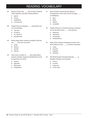# READING: VOCABULARY

- 87. Research shows that \_\_\_\_\_ lack of sleep is linked to colds, migraines, and other health problems.
	- A. typical
	- B. chronic
	- C. established
	- D. conventional
- 88. People's lives are changing \_\_\_\_\_ automation and new technologies.
	- A. now that
	- B. as long as
	- C. as a result of
	- D. provided that
- 89. Newly single, Helen wanted to establish a life that was \_\_\_\_\_\_ from her recent past.
	- A. unlike
	- B. distinct
	- C. specific
	- D. obscure
- 90. There were a number of \_\_\_\_\_ that made editors question whether Jorgensen had faked the events he reported in his article.
	- A. factions
	- B. opposites
	- C. alternatives
	- D. irregularities
- 91. Recent studies indicate that the ability in chimpanzees to exert self-control is strongly to intelligence.
	- A. alike
	- B. allied
	- C. related
	- D. controlled
- 92. Despite advances in machine learning, computers are not yet able to draw \_\_\_\_ from pictures.
	- A. inferences
	- B. indications
	- C. innuendoes
	- D. interpretations
- 93. Many of the icebergs endangering vessels in the North Atlantic Ocean \_\_\_\_\_ in western Greenland.
	- A. create
	- B. proceed
	- C. originate
	- D. introduce
- 94. The World Snooker Championship gets \_\_\_\_\_ in Bangkok, Thailand, next Saturday.
	- A. in force
	- B. on hand
	- C. underway
	- D. on the road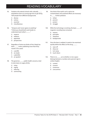# READING:VOCABULARY

- 95. Students who attend schools with culturally populations learn at a young age how to get along with people from different backgrounds.
	- A. diverse
	- B. various
	- C. assorted
	- D. miscellaneous
- 96. "Simpson and I never agree on anything." "I think you should both work harder to understand each other's \_\_\_\_\_\_."
	- A. respects
	- B. relations
	- C. appraisals
	- D. perspectives
- 97. Regardless of what one thinks of him, Brady has been \_\_\_\_ writer, publishing more than forty novels in his career.
	- A. a prolific
	- B. an ample
	- C. a plentiful
	- D. an opulent
- 98. The governor, \_\_\_\_\_ public health concerns, tried to raise taxes on sugary drinks.
	- A. citing
	- B. urging
	- C. referring
	- D. summoning
- 99. One third of the earth's soil is said to be contaminated, and sustained efforts are necessary to \_\_\_\_\_\_ further pollution.
	- A. refrain
	- B. prevent
	- C. protect
	- D. struggle
- 100. While the technology is evolving, the basic \_\_\_\_\_ of magnetic recording have remained.
	- A. reasons
	- B. principles
	- C. vibrations
	- D. backgrounds
- 101. Once the bear is sedated, it needs to be examined quickly before the effects of the drug ...........
	- A. wear off
	- B. drop out
	- C. turn away
	- D. touch down
- 102. There is no \_\_\_\_\_ as to whether or not a space belongs between a number and a percent sign in written English.
	- A. context
	- B. consent
	- C. consensus
	- D. concurrence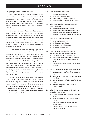## READING

#### **This passage is about a medical condition.**

Tinnitus is the perception of ringing or buzzing, in the ears. Affecting up to a third of the population in the US at some point, tinnitus is often a symptom of an underlying condition, such as ear injury, circulatory system disease, or age-related hearing loss. While tinnitus is not usually harmful in and of itself, chronic tinnitus can be extremely difficult to bear.

Until recently, tinnitus sufferers had little reason to believe doctors would ever find a cure. Drug therapies consistently failed, as did more invasive procedures like surgeries to remove the auditory nerve that transmits sound from the ear to the brain. The most common treatment today, Cognitive Behavioral Therapy (CBT), doesn't even attempt to cure the condition; it only provides patients with strategies for living with it.

New treatments, however, are offering hope that a cure may be possible. One such treatment is Vagus Nerve Stimulation. This treatment involves implanting a small electrode into the neck near the vagus nerve, sending short electric pulses into the nerve while a short audio tone simultaneously stimulates the brain's auditory cortex – the part of the brain that processes sound. When it works, it "tones down" the tinnitus. The difficult part is getting the brain to maintain attention. Normally, when a signal is repeatedly sent to the brain, the brain eventually learns to ignore it. Not unlike the suppressed sensation of our clothes touching our skin.

Like Vagus Nerve Stimulation, Auditory-Somatosensory Stimulation also involves pairing auditory stimulation with timed electric impulses aimed at the brain. In fact, most current experimental treatments involve stimulating or altering the brain's activity in some way. In clinical trials, all these treatments work in about 50 percent of patients – a far cry from a cure, but a significant improvement over simply learning to live with it.

- 103. What is learned about tinnitus?
	- A. It is a common affliction.
	- B. Its severity depends on age.
	- C. It may cause other health problems.
	- D. It is centered in the brain and not the ears.
- 104. What does the author suggest about people suffering tinnitus?
	- A. They are frequently unable to sleep.
	- B. They have historically had little hope of relief.
	- C. They first experience symptoms as children.
	- D. They often suffer from depression and anxiety.
- 105. What is CBT given as an example of?
	- A. an ineffective treatment
	- B. an alternative drug therapy
	- C. an invasive surgical treatment
	- D. an unpopular treatment
- 106. According to the passage, what limits the effectiveness of Vagus Nerve Stimulation?
	- A. danger of damaging the auditory cortex
	- B. the brain's natural over-sensitivity to sound
	- C. maintaining the sensitivity of the brain to stimuli
	- D. finding touch-sensitive nerves to target with electrodes
- 107. Why is clothing mentioned in the third paragraph?
	- A. to demonstrate the effects of tinnitus on the brain
	- B. to explain the theory underlying Vagus Nerve Stimulation
	- C. to emphasize the ineffectiveness of traditional treatments
	- D. to illustrate a problem with one modern treatment option
- 108. What do the new treatments mentioned in the article have in common?
	- A. using electrical pulses to monitor the brain's activity
	- B. simultaneously stimulating multiple parts of the body
	- C. implanting electrodes into the patient's auditory cortex
	- D. targeting the brain with sounds that are louder than tinnitus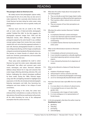## READING

#### **This passage is about an American artist.**

We widely assume that photographs capture reality, but through the lens of an artist, they can also serve to make statements. This is precisely what American artist Cindy Sherman has been doing her entire career: using photography to express her views on gender, media, and society.

Sherman burst onto the art world in the 1970s, with an iconic series of black-and-white photographs entitled "Untitled Film Stills." As the title suggests, the photographs represent images from 1950s and 60s Hollywood movies, often reflecting a single female protagonist played by the artist herself. It was a brilliant concept: grainy images from movies that never existed; created with such verve that they appeared authentic. In each still, Sherman photographed herself in a role that was ambiguously alluring, and the images surreptitiously critiqued conventional standards of female attractiveness. She became an instant favorite of cultural critics the world over. Feminists, postmodernists, and structuralists each claimed her as their own.

These early works established the motif in which Sherman has spent her entire career: elaborately styled "self-portraits" that reflect and comment upon social mores, stereotypes, and values. Sherman's elaborate tableaux always feature her in wigs and costumes that evoke images reflecting advertising, television, film, and fashion; challenging the cultural stereotypes proffered by these media. During the 1980s, Sherman began using color film and lighting intended to highlight facial expressions. In the 90s, she introduced stark photographs featuring mannequins and dolls, thus becoming less ambiguous and more strident in her critique of social conventions.

Still going strong in her sixties, few artists have embraced their contradictions so easily as Sherman. She takes photos of herself that are anything but self-portraits, all the while thumbing her nose at the widespread assumption that the camera never lies.

- 109. What does the author imply about most people who view photographs?
	- A. They uncritically accept that images depict reality.
	- B. Their perceptions are influenced by their experiences.
	- C. Their reactions reflect cultural norms and social standards.
	- D. They are unaware of how their perceptions are manipulated.
- 110. Why does the author mention Sherman's "Untitled Film Stills"?
	- A. to emphasize Sherman's camera techniques
	- B. to show how Sherman's style has evolved over time
	- C. to argue that Sherman's first works were uninteresting
	- D. to establish themes Sherman has focused on her entire career
- 111. What can be inferred about reactions to Sherman's early work?
	- A. It immediately achieved commercial success.
	- B. It was instantly recognized as culturally significant.
	- C. It provoked opposing opinions among cultural experts.
	- D. It was criticized by feminists for its depictions of women.
- 112. What can be inferred is a feature of Cindy Sherman's work?
	- A. imitation of landscape imagery
	- B. self-portrayal in various costumes and roles
	- C. refusal to use advanced photographic technology
	- D. use of un-stereotypically beautiful female models
- 113. How does Sherman's later style differ from her earliest works?
	- A. It is more direct in its criticism of cultural norms.
	- B. It increasingly focuses on issues other than gender roles.
	- C. It incorporates color images of male models.
	- D. It is more ambiguous in its representations of female beauty.
- 114. In the last paragraph, what does the author mean by **thumbing her nose**?
	- A. glorifying
	- B. ridiculing
	- C. portraying
	- D. acknowledging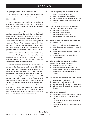## READING

#### **This passage is about Colony Collapse Disorder.**

The world's bee population has been in decline for nearly two decades, due to what is called Colony Collapse Disorder (CCD).

CCD is a catastrophic event in which the worker bees of a beehive rapidly disappear, leaving behind an abandoned hive. This is disastrous for the bee colony and financially ruinous for beekeepers.

Colonies suffering from CCD are characterized by three simultaneous conditions. The first is that the abandoned hives contain unhatched honeybee eggs. Ordinarily, healthy bees will not abandon a hive with unhatched eggs. The second is that the abandoned hives have significant quantities of stored food, including honey and pollen. Normally, such unguarded food sources are robbed by bees from other colonies, or immediately raided by other hive pests. The last condition is that the queen bee is still present.

Although, what causes CCD is still not well understood, there are several leading theories. Possible culprits include pesticides, parasites, or pathogens. Mounting evidence suggests, however, that CCD is most likely caused by complex interactions among these factors.

Beekeepers around the world lose an estimated 30 percent of their bee colonies each year to CCD. This is significant, because more than one-third of the world's crop production is heavily dependent on pollination by bees. Certain crops are particularly threatened by the loss of bees. The state of California, in the United States, produces 80 percent of the world's almonds. When California's almond trees bloom – from February to March – nearly 60 percent of America's bee colonies are brought in to pollinate the crop. Because CCD poses such an imminent threat to California's almonds, many growers are exploring alternatives to bee pollination, including pollinating crops by hand, spraying pollen from crop-dusting aircraft, using insects other than bees, and even the use of so-called robotic bees.

- 115. What is the primary purpose of this passage?
	- A. to show how CCD affects crops
	- B. to describe a problem affecting bees
	- C. to discuss an important finding regarding CCD
	- D. to explain how bees adapt to environmental threats
- 116. According to the passage, what is the leading indication that a hive is suffering from CCD?
	- A. that the hive is full of food
	- B. that the hive is free of pests
	- C. that the queen bee is present
	- D. that the worker bees have left the hive
- 117. According to the passage, what is implied about the cause of CCD?
	- A. It could be due in part to climate change.
	- B. It is probably due to a combination of several factors.
	- C. It is currently thought to be due primarily to pesticides.
	- D. It seems increasingly likely to be due to human activity.
- 118. What is noted about the majority of US bee colonies during February and March?
	- A. They produce very little honey.
	- B. They become more susceptible to CCD.
	- C. They have large numbers of unhatched eggs.
	- D. They are used to pollinate almonds in California.
- 119. Why does the author mention crop-dusting aircraft?
	- A. to compare them to insects
	- B. to suggest a possible cause of CCD
	- C. to give an example of an alternative pollinator
	- D. to identify a problem associated with growing almonds
- 120. What statistic is provided?
	- A. the number of almond trees grown in California
	- B. the financial impact of CCD on the honey industry
	- C. the total number of beekeepers impacted by CCD each year
	- D. the amount of global crops dependent on bee pollination

 $-$  End of the test  $-$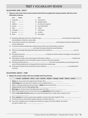## **TEST 1** VOCABULARY REVIEW

#### **COLLOCATIONS: VERB + OBJECT**

**1 Choose a verb in list A and a word or phrase from list B to complete the sentences below with the correct collocation or phrase.**

|                | List A                       | Answer                                     |              | List B                                                                                |                                                                                                                   |  |  |  |
|----------------|------------------------------|--------------------------------------------|--------------|---------------------------------------------------------------------------------------|-------------------------------------------------------------------------------------------------------------------|--|--|--|
| $\mathbf{1}$   | assemble _______             |                                            | a            | conclusions                                                                           |                                                                                                                   |  |  |  |
| $\overline{2}$ | trace $\qquad \qquad \qquad$ |                                            | $\mathbf b$  | people's spirits                                                                      |                                                                                                                   |  |  |  |
| 3              | address _______              |                                            | $\mathsf{C}$ | an immune response                                                                    |                                                                                                                   |  |  |  |
|                | 4 pursue ______              |                                            | d            | new information                                                                       |                                                                                                                   |  |  |  |
|                | 5 raise                      | <b>Contract Contract Contract</b>          | e            | a team                                                                                |                                                                                                                   |  |  |  |
|                | 6 stimulate ______           |                                            | f            | a key issue                                                                           |                                                                                                                   |  |  |  |
| $\mathcal{I}$  | process ________             |                                            | q            | a career                                                                              |                                                                                                                   |  |  |  |
|                | 8 draw _______               |                                            |              | h the origins                                                                         |                                                                                                                   |  |  |  |
|                |                              |                                            |              |                                                                                       |                                                                                                                   |  |  |  |
| 9              |                              |                                            |              |                                                                                       |                                                                                                                   |  |  |  |
|                |                              | their problems, if only for a short while. |              |                                                                                       |                                                                                                                   |  |  |  |
| $10-10$        |                              |                                            |              |                                                                                       |                                                                                                                   |  |  |  |
|                | various statements.          |                                            |              |                                                                                       |                                                                                                                   |  |  |  |
| 11             |                              |                                            |              | A vaccine works by introducing a small amount of the virus into the body, in order to |                                                                                                                   |  |  |  |
|                |                              |                                            |              | and cause the body to build its natural defenses.                                     |                                                                                                                   |  |  |  |
|                |                              |                                            |              |                                                                                       |                                                                                                                   |  |  |  |
|                | causes.                      |                                            |              |                                                                                       |                                                                                                                   |  |  |  |
| 13             |                              |                                            |              |                                                                                       |                                                                                                                   |  |  |  |
|                | economic recovery.           |                                            |              |                                                                                       |                                                                                                                   |  |  |  |
| 14             |                              |                                            |              |                                                                                       | Although the article covers most aspects of the topic, it fails to _________________________________: namely, how |  |  |  |
|                |                              |                                            |              | to persuade people to act in the public interest, not just in their own interests.    |                                                                                                                   |  |  |  |
| 15             |                              |                                            |              |                                                                                       |                                                                                                                   |  |  |  |
|                |                              |                                            |              | roots of these problems lie in changes that occurred two centuries ago.               |                                                                                                                   |  |  |  |
| 16             |                              |                                            |              |                                                                                       |                                                                                                                   |  |  |  |
|                | musician.                    |                                            |              |                                                                                       |                                                                                                                   |  |  |  |

#### **COLLOCATIONS: SUBJECT + VERB**

#### **2 Replace the words in italics with more suitable verbs from the box.**

**• mount • proliferate • thrive • nod • consent • decline • emerge • hatch • bloom • evolve**

- **1 Plants** do not *succeed* in the right kind of climate. They .
- **2 Technology** does not *grow* from simple to more complex forms. It .
- **3** When a company keeps borrowing money, it **debts** do not *ascend*. They .
- **4 Flowers do not** *mature* **in the spring. They .**
- **5 Bird eggs** do not *burst* when the baby birds come out. They .

.

- **6** When many people move out of an area, the local **population** doesn't *weaken*. It .
- **7** When **a new style of music** appears as a result of developments in older styles, it doesn't *rise*. It
- **8** When **animals** of a certain species grow rapidly in number, they don't *duplicate*. They .
- **9** If a friend wants to show that he agrees with you, he doesn't *bow*. He .
- **10** If you visit a website and a message asks whether you agree to let that website use cookies, you don't *conform*. You .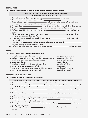#### **PHRASAL VERBS**

#### **3 Complete each sentence with the correct form of one of the phrasal verbs in the box.**

#### **• drop out • set aside • tone down • build up • set up • hand over • come down to • flare up • wear off • drop off**

- **1** The music sounds very heavy, so maybe we should **the container the bass a bit.**
- **2** The pain seemed to return as soon as the painkillers .
- **3** These stories about people of college or university, in order to follow their dreams, seem to suggest that success is possible without academic achievement.
- **4** Poisonous chemicals in the soil over time, until levels are too high for plants to grow.
- **5 The students and a group whose aim was to raise awareness about inequality.**
- **6** Profits continued rising higher and higher then suddenly about the middle of the decade.
- **7** All these arguments between you and your parents basically **100 million** Same simple fact: you feel that they are controlling your life.
- **8** I thought the injury to my ankle had healed fully, but the pain again as soon as I returned to jogging.
- **9** I appreciate that you are very busy at the moment, but I'd be very grateful if you could just ten minutes so that we can discuss this matter.
- 10 Professor Jones will give a brief introduction to the debate before **the first speaker.** to the first speaker.

#### **NOUNS**

#### **4 Circle the correct noun, based on the definitions given.**

 the action of polluting or poisoning something discussed disruption / contamination 2 a difference or dissimilarity between things that should be the same discrepancy / determinant an animal that does not have a backbone, e.g. a spider and automaton / invertebrate energy and enthusiasm verve / affliction somebody or something that is to blame for a problem subordinate / culprit an inconvenience that makes things difficult **has a state of the contract of the last** hassle / pest something you take in order to get enough nutrition in your diet supplement / abundance the willingness or ability to change as required subsets as sustainability / flexibility

#### **NOUNS IN PHRASES AND EXPRESSIONS**

**5 Use the nouns in the box to complete the sentences.**

|  |  |  |  | ·hand · ball · cry · domain · satisfaction · nose · hazard · index · part · force · behalf · ground |  |  |  |  |  |  |  |
|--|--|--|--|-----------------------------------------------------------------------------------------------------|--|--|--|--|--|--|--|
|--|--|--|--|-----------------------------------------------------------------------------------------------------|--|--|--|--|--|--|--|

- **1** Though Hannah's anxiety is due **in** \_\_\_\_\_\_\_\_\_\_\_\_\_\_\_\_\_\_\_\_ to work stress, this is not the only cause.
- **2** The world we see today is **a far <u>from the future</u>** from the future visions of people in the past, who imagined that the 21<sup>st</sup> century would be some kind of space-age dream world.
- **3** There are always sales assistants **on** <u>the subsection and the products</u> on answer customers' questions about the products on display.
- 4 The new rules, which are now fully in \_\_\_\_\_\_\_\_\_\_\_\_\_\_\_\_\_, prevent people from using the internet as they did in the past.
- **5** Smoking is not allowed near the laboratories, as lit cigarettes represent a **fire** .
- **6** There was a growing sense that politicians did not act **on of** the whole community, but only to help those who were already in positions of power.
- **7** Beth may not earn very much from her gardening work but at least her **job** \_\_\_\_\_\_\_\_\_\_\_\_\_\_\_\_\_\_\_ is high, as she is doing what she loves most.
- **8** According to your **body mass** \_\_\_\_\_\_\_\_\_\_\_\_\_\_\_\_\_, you are currently at a healthy weight for your age and gender.